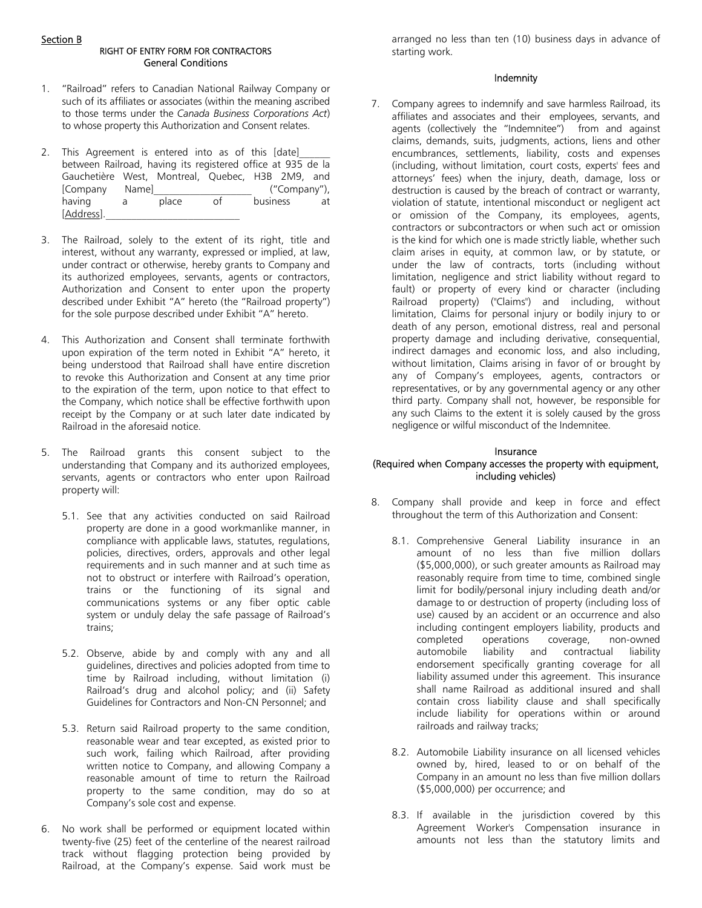# Section B

# RIGHT OF ENTRY FORM FOR CONTRACTORS General Conditions

- 1. "Railroad" refers to Canadian National Railway Company or such of its affiliates or associates (within the meaning ascribed to those terms under the *Canada Business Corporations Act*) to whose property this Authorization and Consent relates.
- 2. This Agreement is entered into as of this [date] between Railroad, having its registered office at 935 de la Gauchetière West, Montreal, Quebec, H3B 2M9, and<br>[Company Name] ("Company"), [Company Name] ("Company"), having a place of business at [Address].
- 3. The Railroad, solely to the extent of its right, title and interest, without any warranty, expressed or implied, at law, under contract or otherwise, hereby grants to Company and its authorized employees, servants, agents or contractors, Authorization and Consent to enter upon the property described under Exhibit "A" hereto (the "Railroad property") for the sole purpose described under Exhibit "A" hereto.
- 4. This Authorization and Consent shall terminate forthwith upon expiration of the term noted in Exhibit "A" hereto, it being understood that Railroad shall have entire discretion to revoke this Authorization and Consent at any time prior to the expiration of the term, upon notice to that effect to the Company, which notice shall be effective forthwith upon receipt by the Company or at such later date indicated by Railroad in the aforesaid notice.
- 5. The Railroad grants this consent subject to the understanding that Company and its authorized employees, servants, agents or contractors who enter upon Railroad property will:
	- 5.1. See that any activities conducted on said Railroad property are done in a good workmanlike manner, in compliance with applicable laws, statutes, regulations, policies, directives, orders, approvals and other legal requirements and in such manner and at such time as not to obstruct or interfere with Railroad's operation, trains or the functioning of its signal and communications systems or any fiber optic cable system or unduly delay the safe passage of Railroad's trains;
	- 5.2. Observe, abide by and comply with any and all guidelines, directives and policies adopted from time to time by Railroad including, without limitation (i) Railroad's drug and alcohol policy; and (ii) Safety Guidelines for Contractors and Non-CN Personnel; and
	- 5.3. Return said Railroad property to the same condition, reasonable wear and tear excepted, as existed prior to such work, failing which Railroad, after providing written notice to Company, and allowing Company a reasonable amount of time to return the Railroad property to the same condition, may do so at Company's sole cost and expense.
- 6. No work shall be performed or equipment located within twenty-five (25) feet of the centerline of the nearest railroad track without flagging protection being provided by Railroad, at the Company's expense. Said work must be

arranged no less than ten (10) business days in advance of starting work.

### Indemnity

7. Company agrees to indemnify and save harmless Railroad, its affiliates and associates and their employees, servants, and agents (collectively the "Indemnitee") from and against claims, demands, suits, judgments, actions, liens and other encumbrances, settlements, liability, costs and expenses (including, without limitation, court costs, experts' fees and attorneys' fees) when the injury, death, damage, loss or destruction is caused by the breach of contract or warranty, violation of statute, intentional misconduct or negligent act or omission of the Company, its employees, agents, contractors or subcontractors or when such act or omission is the kind for which one is made strictly liable, whether such claim arises in equity, at common law, or by statute, or under the law of contracts, torts (including without limitation, negligence and strict liability without regard to fault) or property of every kind or character (including Railroad property) ("Claims") and including, without limitation, Claims for personal injury or bodily injury to or death of any person, emotional distress, real and personal property damage and including derivative, consequential, indirect damages and economic loss, and also including, without limitation, Claims arising in favor of or brought by any of Company's employees, agents, contractors or representatives, or by any governmental agency or any other third party. Company shall not, however, be responsible for any such Claims to the extent it is solely caused by the gross negligence or wilful misconduct of the Indemnitee.

### Insurance

# (Required when Company accesses the property with equipment, including vehicles)

- 8. Company shall provide and keep in force and effect throughout the term of this Authorization and Consent:
	- 8.1. Comprehensive General Liability insurance in an amount of no less than five million dollars (\$5,000,000), or such greater amounts as Railroad may reasonably require from time to time, combined single limit for bodily/personal injury including death and/or damage to or destruction of property (including loss of use) caused by an accident or an occurrence and also including contingent employers liability, products and completed operations coverage, non-owned automobile liability and contractual liability endorsement specifically granting coverage for all liability assumed under this agreement. This insurance shall name Railroad as additional insured and shall contain cross liability clause and shall specifically include liability for operations within or around railroads and railway tracks;
	- 8.2. Automobile Liability insurance on all licensed vehicles owned by, hired, leased to or on behalf of the Company in an amount no less than five million dollars (\$5,000,000) per occurrence; and
	- 8.3. If available in the jurisdiction covered by this Agreement Worker's Compensation insurance in amounts not less than the statutory limits and